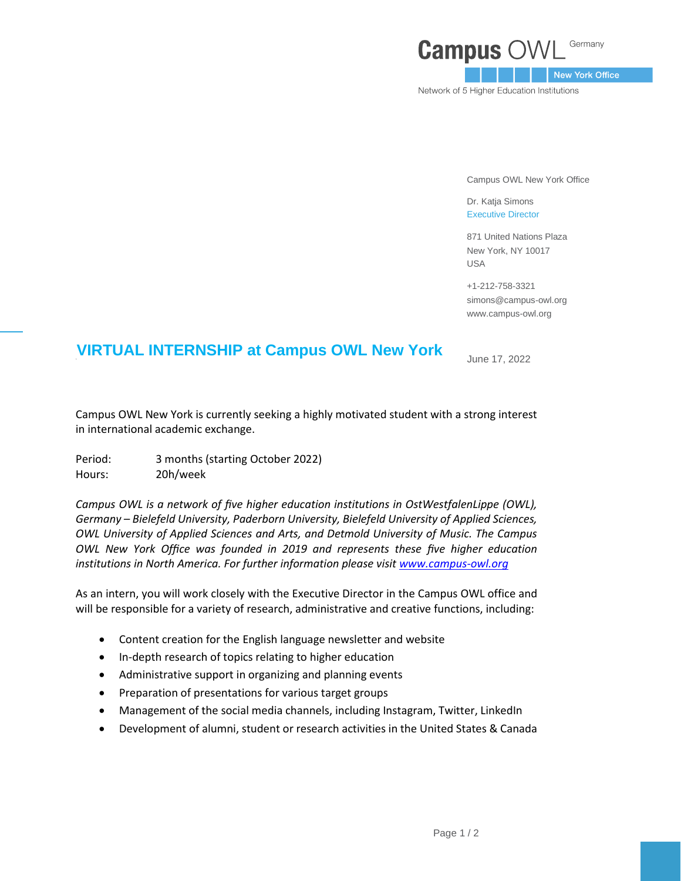## Germany **Campus O**

New York Office

Network of 5 Higher Education Institutions

Campus OWL New York Office

Dr. Katja Simons Executive Director

871 United Nations Plaza New York, NY 10017 USA

+1-212-758-3321 simons@campus-owl.org [www.campus-owl.org](http://www.campus-owl.org/)

## **VIRTUAL INTERNSHIP at Campus OWL New York**

June 17, 2022

Campus OWL New York is currently seeking a highly motivated student with a strong interest in international academic exchange.

Period: 3 months (starting October 2022) Hours: 20h/week

*Campus OWL is a network of five higher education institutions in OstWestfalenLippe (OWL), Germany – Bielefeld University, Paderborn University, Bielefeld University of Applied Sciences, OWL University of Applied Sciences and Arts, and Detmold University of Music. The Campus OWL New York Office was founded in 2019 and represents these five higher education institutions in North America. For further information please visit [www.campus-owl.org](http://www.campus-owl.org/)*

As an intern, you will work closely with the Executive Director in the Campus OWL office and will be responsible for a variety of research, administrative and creative functions, including:

- Content creation for the English language newsletter and website
- In-depth research of topics relating to higher education
- Administrative support in organizing and planning events
- Preparation of presentations for various target groups
- Management of the social media channels, including Instagram, Twitter, LinkedIn
- Development of alumni, student or research activities in the United States & Canada